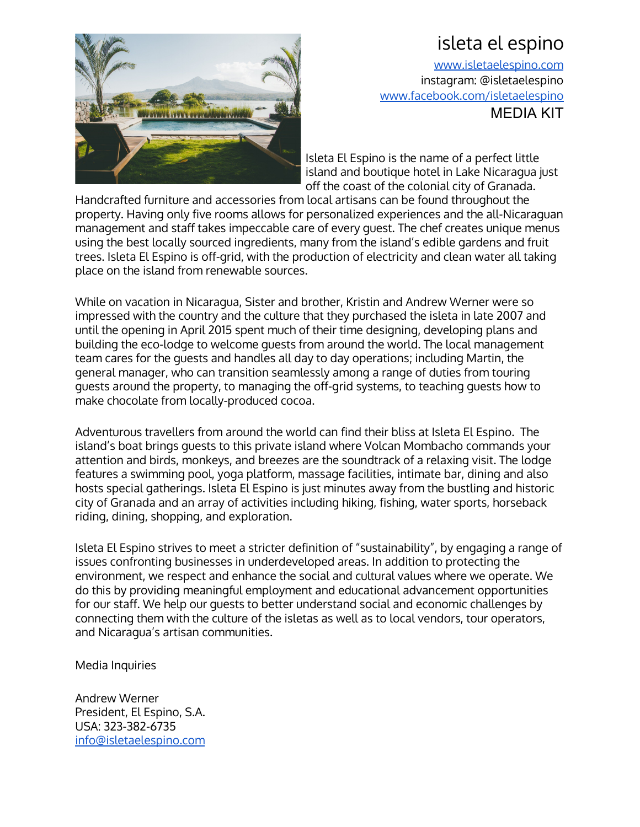## isleta el espino



[www.isletaelespino.com](http://www.isletaelespino.com/) instagram: @isletaelespino [www.facebook.com/isletaelespino](http://www.facebook.com/isletaelespino) MEDIA KIT

Isleta El Espino is the name of a perfect little island and boutique hotel in Lake Nicaragua just off the coast of the colonial city of [Granada.](https://www.google.com/search?q=granada+nicaragua&rlz=1C1CHFX_enUS487US487&sugexp=chrome,mod%3D3&um=1&ie=UTF-8&hl=en&tbm=isch&source=og&sa=N&tab=wi&authuser=0&ei=7s1oUKzgI-SXiAKou4DIDQ&pws=0&biw=1745&bih=860)

Handcrafted furniture and accessories from local artisans can be found throughout the property. Having only five rooms allows for personalized experiences and the all-Nicaraguan management and staff takes impeccable care of every guest. The chef creates unique menus using the best locally sourced ingredients, many from the island's edible gardens and fruit trees. Isleta El Espino is off-grid, with the production of electricity and clean water all taking place on the island from renewable sources.

While on vacation in Nicaragua, Sister and brother, Kristin and Andrew Werner were so impressed with the country and the culture that they purchased the isleta in late 2007 and until the opening in April 2015 spent much of their time designing, developing plans and building the eco-lodge to welcome guests from around the world. The local management team cares for the guests and handles all day to day operations; including Martin, the general manager, who can transition seamlessly among a range of duties from touring guests around the property, to managing the off-grid systems, to teaching guests how to make chocolate from locally-produced cocoa.

Adventurous travellers from around the world can find their bliss at Isleta El Espino. The island's boat brings guests to this private island where Volcan Mombacho commands your attention and birds, monkeys, and breezes are the soundtrack of a relaxing visit. The lodge features a swimming pool, yoga platform, massage facilities, intimate bar, dining and also hosts special gatherings. Isleta El Espino is just minutes away from the bustling and historic city of Granada and an array of activities including hiking, fishing, water sports, horseback riding, dining, shopping, and exploration.

Isleta El Espino strives to meet a stricter definition of "sustainability", by engaging a range of issues confronting businesses in underdeveloped areas. In addition to protecting the environment, we respect and enhance the social and cultural values where we operate. We do this by providing meaningful employment and educational advancement opportunities for our staff. We help our guests to better understand social and economic challenges by connecting them with the culture of the isletas as well as to local vendors, tour operators, and Nicaragua's artisan communities.

Media Inquiries

Andrew Werner President, El Espino, S.A. USA: 323-382-6735 [info@isletaelespino.com](mailto:info@isletaelespino.com)